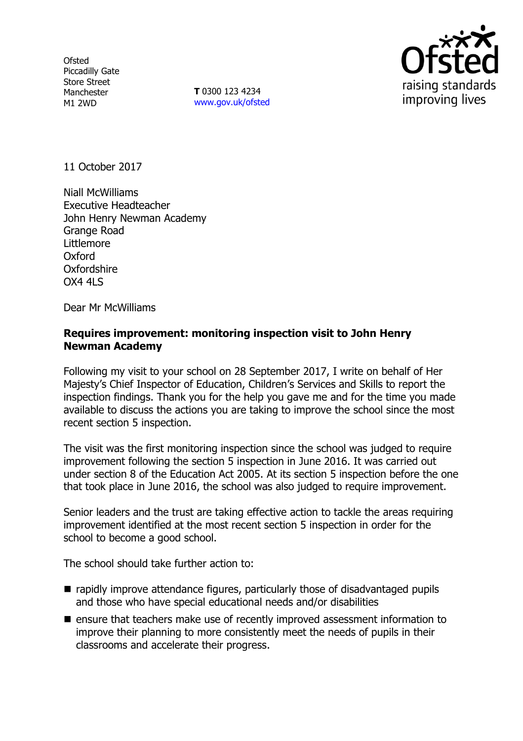**Ofsted** Piccadilly Gate Store Street Manchester M1 2WD

**T** 0300 123 4234 www.gov.uk/ofsted



11 October 2017

Niall McWilliams Executive Headteacher John Henry Newman Academy Grange Road Littlemore Oxford Oxfordshire OX4 4LS

Dear Mr McWilliams

#### **Requires improvement: monitoring inspection visit to John Henry Newman Academy**

Following my visit to your school on 28 September 2017, I write on behalf of Her Majesty's Chief Inspector of Education, Children's Services and Skills to report the inspection findings. Thank you for the help you gave me and for the time you made available to discuss the actions you are taking to improve the school since the most recent section 5 inspection.

The visit was the first monitoring inspection since the school was judged to require improvement following the section 5 inspection in June 2016. It was carried out under section 8 of the Education Act 2005. At its section 5 inspection before the one that took place in June 2016, the school was also judged to require improvement.

Senior leaders and the trust are taking effective action to tackle the areas requiring improvement identified at the most recent section 5 inspection in order for the school to become a good school.

The school should take further action to:

- rapidly improve attendance figures, particularly those of disadvantaged pupils and those who have special educational needs and/or disabilities
- $\blacksquare$  ensure that teachers make use of recently improved assessment information to improve their planning to more consistently meet the needs of pupils in their classrooms and accelerate their progress.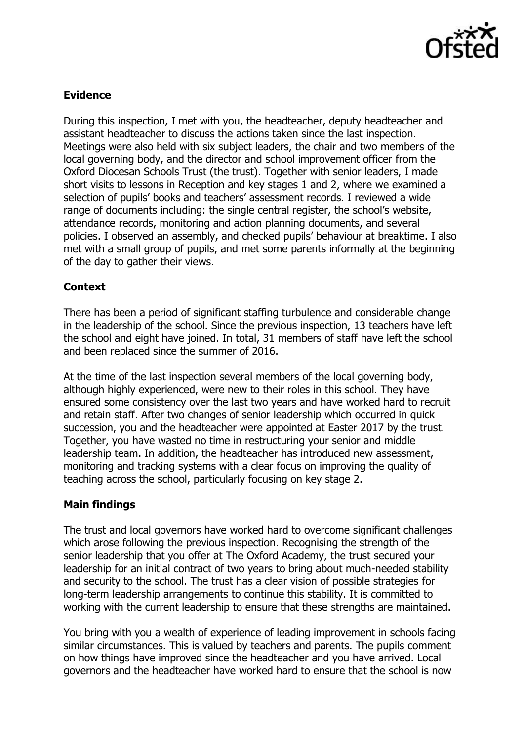

# **Evidence**

During this inspection, I met with you, the headteacher, deputy headteacher and assistant headteacher to discuss the actions taken since the last inspection. Meetings were also held with six subject leaders, the chair and two members of the local governing body, and the director and school improvement officer from the Oxford Diocesan Schools Trust (the trust). Together with senior leaders, I made short visits to lessons in Reception and key stages 1 and 2, where we examined a selection of pupils' books and teachers' assessment records. I reviewed a wide range of documents including: the single central register, the school's website, attendance records, monitoring and action planning documents, and several policies. I observed an assembly, and checked pupils' behaviour at breaktime. I also met with a small group of pupils, and met some parents informally at the beginning of the day to gather their views.

## **Context**

There has been a period of significant staffing turbulence and considerable change in the leadership of the school. Since the previous inspection, 13 teachers have left the school and eight have joined. In total, 31 members of staff have left the school and been replaced since the summer of 2016.

At the time of the last inspection several members of the local governing body, although highly experienced, were new to their roles in this school. They have ensured some consistency over the last two years and have worked hard to recruit and retain staff. After two changes of senior leadership which occurred in quick succession, you and the headteacher were appointed at Easter 2017 by the trust. Together, you have wasted no time in restructuring your senior and middle leadership team. In addition, the headteacher has introduced new assessment, monitoring and tracking systems with a clear focus on improving the quality of teaching across the school, particularly focusing on key stage 2.

### **Main findings**

The trust and local governors have worked hard to overcome significant challenges which arose following the previous inspection. Recognising the strength of the senior leadership that you offer at The Oxford Academy, the trust secured your leadership for an initial contract of two years to bring about much-needed stability and security to the school. The trust has a clear vision of possible strategies for long-term leadership arrangements to continue this stability. It is committed to working with the current leadership to ensure that these strengths are maintained.

You bring with you a wealth of experience of leading improvement in schools facing similar circumstances. This is valued by teachers and parents. The pupils comment on how things have improved since the headteacher and you have arrived. Local governors and the headteacher have worked hard to ensure that the school is now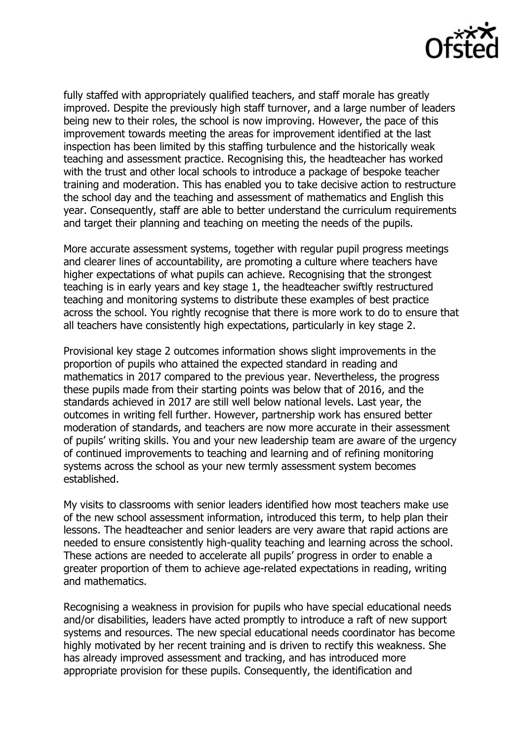

fully staffed with appropriately qualified teachers, and staff morale has greatly improved. Despite the previously high staff turnover, and a large number of leaders being new to their roles, the school is now improving. However, the pace of this improvement towards meeting the areas for improvement identified at the last inspection has been limited by this staffing turbulence and the historically weak teaching and assessment practice. Recognising this, the headteacher has worked with the trust and other local schools to introduce a package of bespoke teacher training and moderation. This has enabled you to take decisive action to restructure the school day and the teaching and assessment of mathematics and English this year. Consequently, staff are able to better understand the curriculum requirements and target their planning and teaching on meeting the needs of the pupils.

More accurate assessment systems, together with regular pupil progress meetings and clearer lines of accountability, are promoting a culture where teachers have higher expectations of what pupils can achieve. Recognising that the strongest teaching is in early years and key stage 1, the headteacher swiftly restructured teaching and monitoring systems to distribute these examples of best practice across the school. You rightly recognise that there is more work to do to ensure that all teachers have consistently high expectations, particularly in key stage 2.

Provisional key stage 2 outcomes information shows slight improvements in the proportion of pupils who attained the expected standard in reading and mathematics in 2017 compared to the previous year. Nevertheless, the progress these pupils made from their starting points was below that of 2016, and the standards achieved in 2017 are still well below national levels. Last year, the outcomes in writing fell further. However, partnership work has ensured better moderation of standards, and teachers are now more accurate in their assessment of pupils' writing skills. You and your new leadership team are aware of the urgency of continued improvements to teaching and learning and of refining monitoring systems across the school as your new termly assessment system becomes established.

My visits to classrooms with senior leaders identified how most teachers make use of the new school assessment information, introduced this term, to help plan their lessons. The headteacher and senior leaders are very aware that rapid actions are needed to ensure consistently high-quality teaching and learning across the school. These actions are needed to accelerate all pupils' progress in order to enable a greater proportion of them to achieve age-related expectations in reading, writing and mathematics.

Recognising a weakness in provision for pupils who have special educational needs and/or disabilities, leaders have acted promptly to introduce a raft of new support systems and resources. The new special educational needs coordinator has become highly motivated by her recent training and is driven to rectify this weakness. She has already improved assessment and tracking, and has introduced more appropriate provision for these pupils. Consequently, the identification and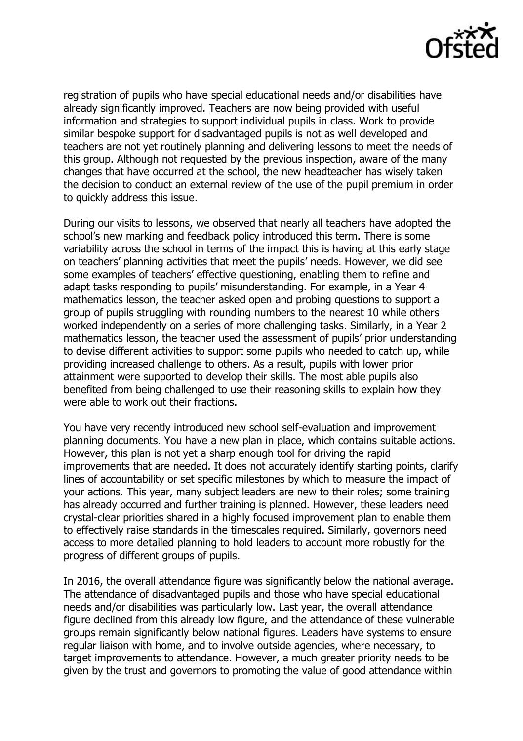

registration of pupils who have special educational needs and/or disabilities have already significantly improved. Teachers are now being provided with useful information and strategies to support individual pupils in class. Work to provide similar bespoke support for disadvantaged pupils is not as well developed and teachers are not yet routinely planning and delivering lessons to meet the needs of this group. Although not requested by the previous inspection, aware of the many changes that have occurred at the school, the new headteacher has wisely taken the decision to conduct an external review of the use of the pupil premium in order to quickly address this issue.

During our visits to lessons, we observed that nearly all teachers have adopted the school's new marking and feedback policy introduced this term. There is some variability across the school in terms of the impact this is having at this early stage on teachers' planning activities that meet the pupils' needs. However, we did see some examples of teachers' effective questioning, enabling them to refine and adapt tasks responding to pupils' misunderstanding. For example, in a Year 4 mathematics lesson, the teacher asked open and probing questions to support a group of pupils struggling with rounding numbers to the nearest 10 while others worked independently on a series of more challenging tasks. Similarly, in a Year 2 mathematics lesson, the teacher used the assessment of pupils' prior understanding to devise different activities to support some pupils who needed to catch up, while providing increased challenge to others. As a result, pupils with lower prior attainment were supported to develop their skills. The most able pupils also benefited from being challenged to use their reasoning skills to explain how they were able to work out their fractions.

You have very recently introduced new school self-evaluation and improvement planning documents. You have a new plan in place, which contains suitable actions. However, this plan is not yet a sharp enough tool for driving the rapid improvements that are needed. It does not accurately identify starting points, clarify lines of accountability or set specific milestones by which to measure the impact of your actions. This year, many subject leaders are new to their roles; some training has already occurred and further training is planned. However, these leaders need crystal-clear priorities shared in a highly focused improvement plan to enable them to effectively raise standards in the timescales required. Similarly, governors need access to more detailed planning to hold leaders to account more robustly for the progress of different groups of pupils.

In 2016, the overall attendance figure was significantly below the national average. The attendance of disadvantaged pupils and those who have special educational needs and/or disabilities was particularly low. Last year, the overall attendance figure declined from this already low figure, and the attendance of these vulnerable groups remain significantly below national figures. Leaders have systems to ensure regular liaison with home, and to involve outside agencies, where necessary, to target improvements to attendance. However, a much greater priority needs to be given by the trust and governors to promoting the value of good attendance within